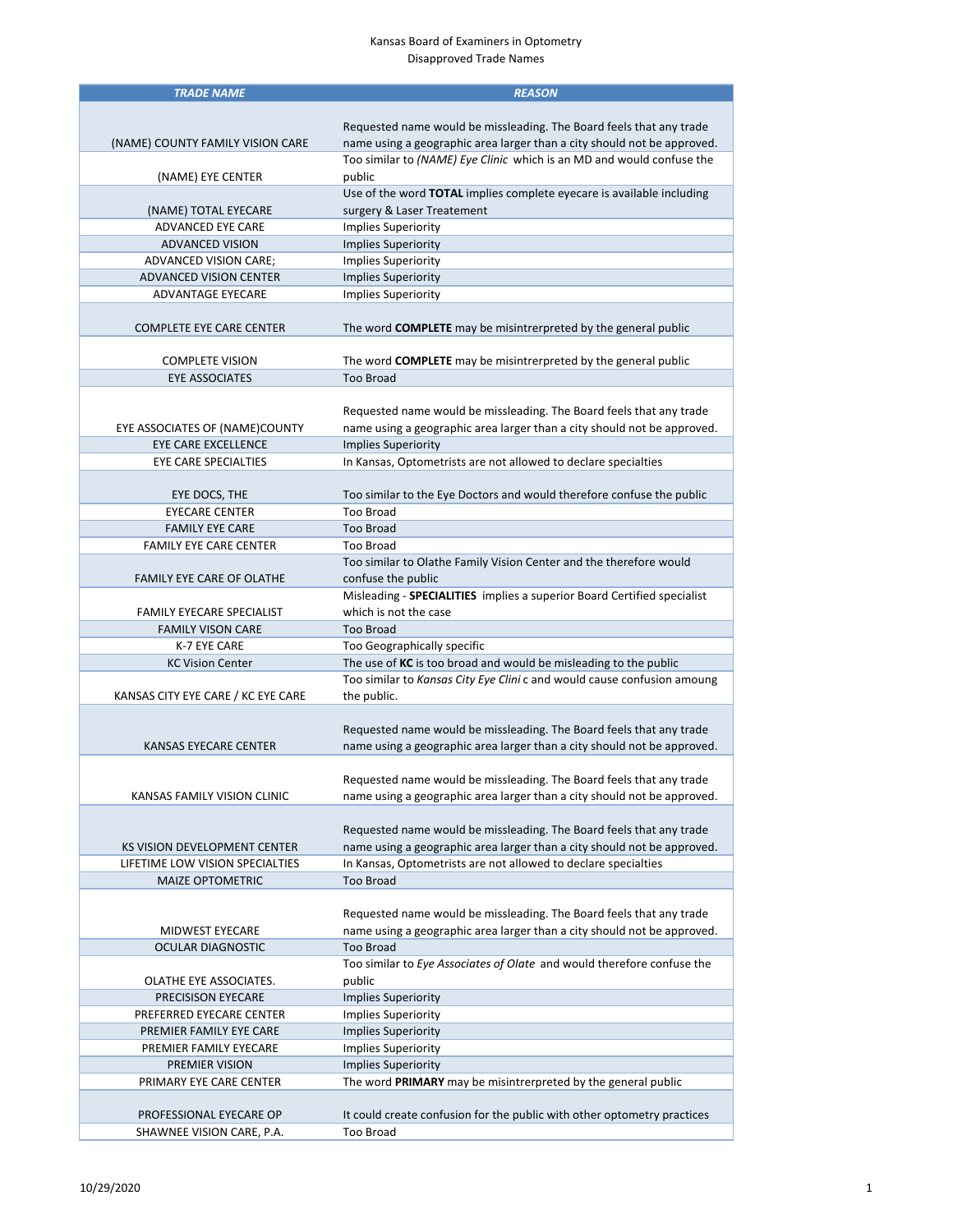## Kansas Board of Examiners in Optometry Disapproved Trade Names

| <b>TRADE NAME</b>                  | <b>REASON</b>                                                           |
|------------------------------------|-------------------------------------------------------------------------|
|                                    |                                                                         |
|                                    | Requested name would be missleading. The Board feels that any trade     |
| (NAME) COUNTY FAMILY VISION CARE   | name using a geographic area larger than a city should not be approved. |
|                                    | Too similar to (NAME) Eye Clinic which is an MD and would confuse the   |
|                                    |                                                                         |
| (NAME) EYE CENTER                  | public                                                                  |
|                                    | Use of the word TOTAL implies complete eyecare is available including   |
| (NAME) TOTAL EYECARE               | surgery & Laser Treatement                                              |
| <b>ADVANCED EYE CARE</b>           | <b>Implies Superiority</b>                                              |
| <b>ADVANCED VISION</b>             | <b>Implies Superiority</b>                                              |
| ADVANCED VISION CARE;              | <b>Implies Superiority</b>                                              |
| <b>ADVANCED VISION CENTER</b>      | <b>Implies Superiority</b>                                              |
| <b>ADVANTAGE EYECARE</b>           | <b>Implies Superiority</b>                                              |
|                                    |                                                                         |
| <b>COMPLETE EYE CARE CENTER</b>    | The word COMPLETE may be misintrerpreted by the general public          |
|                                    |                                                                         |
| <b>COMPLETE VISION</b>             | The word <b>COMPLETE</b> may be misintrerpreted by the general public   |
| <b>EYE ASSOCIATES</b>              | <b>Too Broad</b>                                                        |
|                                    |                                                                         |
|                                    |                                                                         |
|                                    | Requested name would be missleading. The Board feels that any trade     |
| EYE ASSOCIATES OF (NAME)COUNTY     | name using a geographic area larger than a city should not be approved. |
| EYE CARE EXCELLENCE                | <b>Implies Superiority</b>                                              |
| EYE CARE SPECIALTIES               | In Kansas, Optometrists are not allowed to declare specialties          |
|                                    |                                                                         |
| EYE DOCS, THE                      | Too similar to the Eye Doctors and would therefore confuse the public   |
| <b>EYECARE CENTER</b>              | <b>Too Broad</b>                                                        |
| <b>FAMILY EYE CARE</b>             | <b>Too Broad</b>                                                        |
| <b>FAMILY EYE CARE CENTER</b>      | Too Broad                                                               |
|                                    | Too similar to Olathe Family Vision Center and the therefore would      |
| <b>FAMILY EYE CARE OF OLATHE</b>   | confuse the public                                                      |
|                                    | Misleading - SPECIALITIES implies a superior Board Certified specialist |
| <b>FAMILY EYECARE SPECIALIST</b>   | which is not the case                                                   |
|                                    |                                                                         |
| <b>FAMILY VISON CARE</b>           | <b>Too Broad</b>                                                        |
| K-7 EYE CARE                       | Too Geographically specific                                             |
| <b>KC Vision Center</b>            | The use of KC is too broad and would be misleading to the public        |
|                                    | Too similar to Kansas City Eye Clini c and would cause confusion amoung |
| KANSAS CITY EYE CARE / KC EYE CARE | the public.                                                             |
|                                    |                                                                         |
|                                    | Requested name would be missleading. The Board feels that any trade     |
| KANSAS EYECARE CENTER              | name using a geographic area larger than a city should not be approved. |
|                                    |                                                                         |
|                                    | Requested name would be missleading. The Board feels that any trade     |
| KANSAS FAMILY VISION CLINIC        | name using a geographic area larger than a city should not be approved. |
|                                    |                                                                         |
|                                    | Requested name would be missleading. The Board feels that any trade     |
| KS VISION DEVELOPMENT CENTER       | name using a geographic area larger than a city should not be approved. |
| LIFETIME LOW VISION SPECIALTIES    | In Kansas, Optometrists are not allowed to declare specialties          |
|                                    | <b>Too Broad</b>                                                        |
| <b>MAIZE OPTOMETRIC</b>            |                                                                         |
|                                    |                                                                         |
|                                    | Requested name would be missleading. The Board feels that any trade     |
| <b>MIDWEST EYECARE</b>             | name using a geographic area larger than a city should not be approved. |
| <b>OCULAR DIAGNOSTIC</b>           | <b>Too Broad</b>                                                        |
|                                    | Too similar to Eye Associates of Olate and would therefore confuse the  |
| OLATHE EYE ASSOCIATES.             | public                                                                  |
| PRECISISON EYECARE                 | <b>Implies Superiority</b>                                              |
| PREFERRED EYECARE CENTER           | <b>Implies Superiority</b>                                              |
| PREMIER FAMILY EYE CARE            | <b>Implies Superiority</b>                                              |
| PREMIER FAMILY EYECARE             | <b>Implies Superiority</b>                                              |
| PREMIER VISION                     | <b>Implies Superiority</b>                                              |
| PRIMARY EYE CARE CENTER            | The word PRIMARY may be misintrerpreted by the general public           |
|                                    |                                                                         |
| PROFESSIONAL EYECARE OP            | It could create confusion for the public with other optometry practices |
| SHAWNEE VISION CARE, P.A.          | <b>Too Broad</b>                                                        |
|                                    |                                                                         |